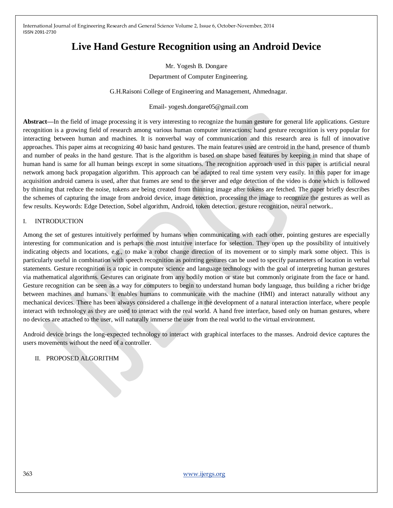# **Live Hand Gesture Recognition using an Android Device**

Mr. Yogesh B. Dongare

### Department of Computer Engineering.

G.H.Raisoni College of Engineering and Management, Ahmednagar.

### Email- yogesh.dongare05@gmail.com

**Abstract—**In the field of image processing it is very interesting to recognize the human gesture for general life applications. Gesture recognition is a growing field of research among various human computer interactions; hand gesture recognition is very popular for interacting between human and machines. It is nonverbal way of communication and this research area is full of innovative approaches. This paper aims at recognizing 40 basic hand gestures. The main features used are centroid in the hand, presence of thumb and number of peaks in the hand gesture. That is the algorithm is based on shape based features by keeping in mind that shape of human hand is same for all human beings except in some situations. The recognition approach used in this paper is artificial neural network among back propagation algorithm. This approach can be adapted to real time system very easily. In this paper for image acquisition android camera is used, after that frames are send to the server and edge detection of the video is done which is followed by thinning that reduce the noise, tokens are being created from thinning image after tokens are fetched. The paper briefly describes the schemes of capturing the image from android device, image detection, processing the image to recognize the gestures as well as few results. Keywords: Edge Detection, Sobel algorithm, Android, token detection, gesture recognition, neural network..

### I. INTRODUCTION

Among the set of gestures intuitively performed by humans when communicating with each other, pointing gestures are especially interesting for communication and is perhaps the most intuitive interface for selection. They open up the possibility of intuitively indicating objects and locations, e.g., to make a robot change direction of its movement or to simply mark some object. This is particularly useful in combination with speech recognition as pointing gestures can be used to specify parameters of location in verbal statements. Gesture recognition is a topic in computer science and language technology with the goal of interpreting human gestures via mathematical algorithms. Gestures can originate from any bodily motion or state but commonly originate from the face or hand. Gesture recognition can be seen as a way for computers to begin to understand human body language, thus building a richer bridge between machines and humans. It enables humans to communicate with the machine (HMI) and interact naturally without any mechanical devices. There has been always considered a challenge in the development of a natural interaction interface, where people interact with technology as they are used to interact with the real world. A hand free interface, based only on human gestures, where no devices are attached to the user, will naturally immerse the user from the real world to the virtual environment.

Android device brings the long-expected technology to interact with graphical interfaces to the masses. Android device captures the users movements without the need of a controller.

# II. PROPOSED ALGORITHM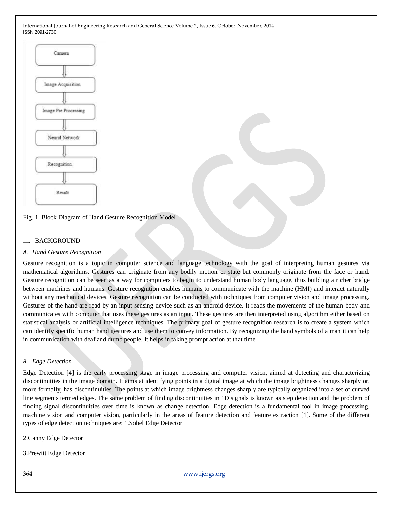

Fig. 1. Block Diagram of Hand Gesture Recognition Model

### III. BACKGROUND

### *A. Hand Gesture Recognition*

Gesture recognition is a topic in computer science and language technology with the goal of interpreting human gestures via mathematical algorithms. Gestures can originate from any bodily motion or state but commonly originate from the face or hand. Gesture recognition can be seen as a way for computers to begin to understand human body language, thus building a richer bridge between machines and humans. Gesture recognition enables humans to communicate with the machine (HMI) and interact naturally without any mechanical devices. Gesture recognition can be conducted with techniques from computer vision and image processing. Gestures of the hand are read by an input sensing device such as an android device. It reads the movements of the human body and communicates with computer that uses these gestures as an input. These gestures are then interpreted using algorithm either based on statistical analysis or artificial intelligence techniques. The primary goal of gesture recognition research is to create a system which can identify specific human hand gestures and use them to convey information. By recognizing the hand symbols of a man it can help in communication with deaf and dumb people. It helps in taking prompt action at that time.

### *B. Edge Detection*

Edge Detection [4] is the early processing stage in image processing and computer vision, aimed at detecting and characterizing discontinuities in the image domain. It aims at identifying points in a digital image at which the image brightness changes sharply or, more formally, has discontinuities. The points at which image brightness changes sharply are typically organized into a set of curved line segments termed edges. The same problem of finding discontinuities in 1D signals is known as step detection and the problem of finding signal discontinuities over time is known as change detection. Edge detection is a fundamental tool in image processing, machine vision and computer vision, particularly in the areas of feature detection and feature extraction [1]. Some of the different types of edge detection techniques are: 1.Sobel Edge Detector

2.Canny Edge Detector

3.Prewitt Edge Detector

364 [www.ijergs.org](http://www.ijergs.org/)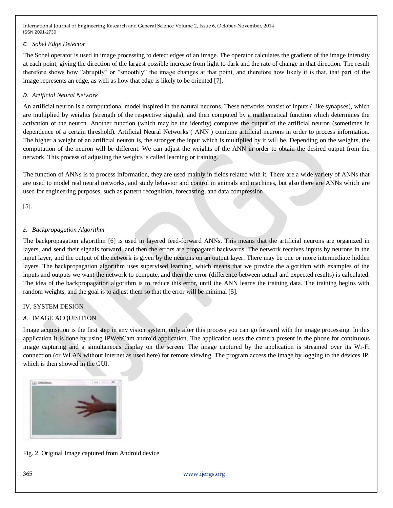# *C. Sobel Edge Detector*

The Sobel operator is used in image processing to detect edges of an image. The operator calculates the gradient of the image intensity at each point, giving the direction of the largest possible increase from light to dark and the rate of change in that direction. The result therefore shows how "abruptly" or "smoothly" the image changes at that point, and therefore how likely it is that, that part of the image represents an edge, as well as how that edge is likely to be oriented [7].

# *D. Artificial Neural Network*

An artificial neuron is a computational model inspired in the natural neurons. These networks consist of inputs ( like synapses), which are multiplied by weights (strength of the respective signals), and then computed by a mathematical function which determines the activation of the neuron. Another function (which may be the identity) computes the output of the artificial neuron (sometimes in dependence of a certain threshold). Artificial Neural Networks ( ANN ) combine artificial neurons in order to process information. The higher a weight of an artificial neuron is, the stronger the input which is multiplied by it will be. Depending on the weights, the computation of the neuron will be different. We can adjust the weights of the ANN in order to obtain the desired output from the network. This process of adjusting the weights is called learning or training.

The function of ANNs is to process information, they are used mainly in fields related with it. There are a wide variety of ANNs that are used to model real neural networks, and study behavior and control in animals and machines, but also there are ANNs which are used for engineering purposes, such as pattern recognition, forecasting, and data compression

[5].

# *E. Backpropagation Algorithm*

The backpropagation algorithm [6] is used in layered feed-forward ANNs. This means that the artificial neurons are organized in layers, and send their signals forward, and then the errors are propagated backwards. The network receives inputs by neurons in the input layer, and the output of the network is given by the neurons on an output layer. There may be one or more intermediate hidden layers. The backpropagation algorithm uses supervised learning, which means that we provide the algorithm with examples of the inputs and outputs we want the network to compute, and then the error (difference between actual and expected results) is calculated. The idea of the backpropagation algorithm is to reduce this error, until the ANN learns the training data. The training begins with random weights, and the goal is to adjust them so that the error will be minimal [5].

# IV. SYSTEM DESIGN

# *A.* IMAGE ACQUISITION

Image acquisition is the first step in any vision system, only after this process you can go forward with the image processing. In this application it is done by using IPWebCam android application. The application uses the camera present in the phone for continuous image capturing and a simultaneous display on the screen. The image captured by the application is streamed over its Wi-Fi connection (or WLAN without internet as used here) for remote viewing. The program access the image by logging to the devices IP, which is then showed in the GUI.



Fig. 2. Original Image captured from Android device

365 [www.ijergs.org](http://www.ijergs.org/)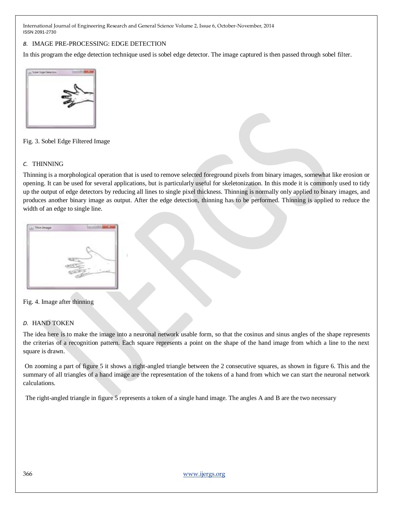### *B.* IMAGE PRE-PROCESSING: EDGE DETECTION

In this program the edge detection technique used is sobel edge detector. The image captured is then passed through sobel filter.



Fig. 3. Sobel Edge Filtered Image

# *C.* THINNING

Thinning is a morphological operation that is used to remove selected foreground pixels from binary images, somewhat like erosion or opening. It can be used for several applications, but is particularly useful for skeletonization. In this mode it is commonly used to tidy up the output of edge detectors by reducing all lines to single pixel thickness. Thinning is normally only applied to binary images, and produces another binary image as output. After the edge detection, thinning has to be performed. Thinning is applied to reduce the width of an edge to single line.



Fig. 4. Image after thinning

# *D.* HAND TOKEN

The idea here is to make the image into a neuronal network usable form, so that the cosinus and sinus angles of the shape represents the criterias of a recognition pattern. Each square represents a point on the shape of the hand image from which a line to the next square is drawn.

On zooming a part of figure 5 it shows a right-angled triangle between the 2 consecutive squares, as shown in figure 6. This and the summary of all triangles of a hand image are the representation of the tokens of a hand from which we can start the neuronal network calculations.

The right-angled triangle in figure 5 represents a token of a single hand image. The angles A and B are the two necessary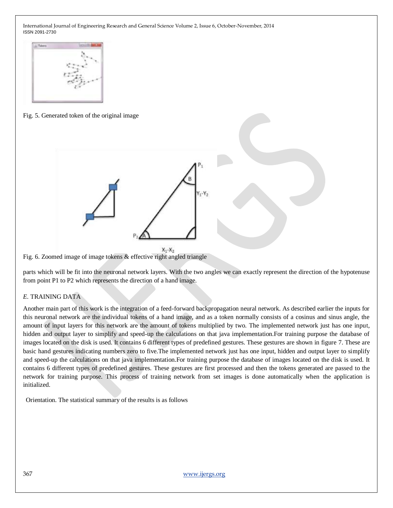

### Fig. 5. Generated token of the original image



 $X_1 - X_2$ 

Fig. 6. Zoomed image of image tokens & effective right angled triangle

parts which will be fit into the neuronal network layers. With the two angles we can exactly represent the direction of the hypotenuse from point P1 to P2 which represents the direction of a hand image.

# *E.* TRAINING DATA

Another main part of this work is the integration of a feed-forward backpropagation neural network. As described earlier the inputs for this neuronal network are the individual tokens of a hand image, and as a token normally consists of a cosinus and sinus angle, the amount of input layers for this network are the amount of tokens multiplied by two. The implemented network just has one input, hidden and output layer to simplify and speed-up the calculations on that java implementation.For training purpose the database of images located on the disk is used. It contains 6 different types of predefined gestures. These gestures are shown in figure 7. These are basic hand gestures indicating numbers zero to five.The implemented network just has one input, hidden and output layer to simplify and speed-up the calculations on that java implementation.For training purpose the database of images located on the disk is used. It contains 6 different types of predefined gestures. These gestures are first processed and then the tokens generated are passed to the network for training purpose. This process of training network from set images is done automatically when the application is initialized.

Orientation. The statistical summary of the results is as follows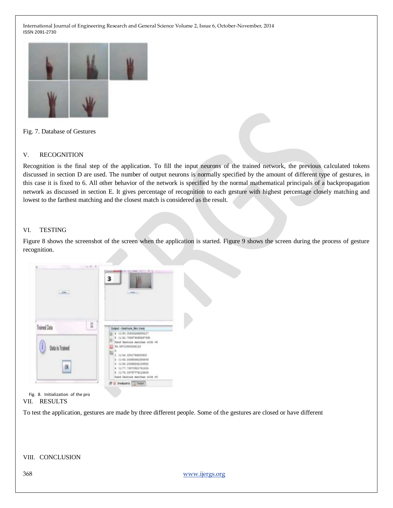

Fig. 7. Database of Gestures

### V. RECOGNITION

Recognition is the final step of the application. To fill the input neurons of the trained network, the previous calculated tokens discussed in section D are used. The number of output neurons is normally specified by the amount of different type of gestures, in this case it is fixed to 6. All other behavior of the network is specified by the normal mathematical principals of a backpropagation network as discussed in section E. It gives percentage of recognition to each gesture with highest percentage closely matching and lowest to the farthest matching and the closest match is considered as the result.

# VI. TESTING

Figure 8 shows the screenshot of the screen when the application is started. Figure 9 shows the screen during the process of gesture recognition.

| <b>CARD</b>                                                                                                                                                                                                                                                                                                 |
|-------------------------------------------------------------------------------------------------------------------------------------------------------------------------------------------------------------------------------------------------------------------------------------------------------------|
| Dutput - Gestrure, Ros Irues<br># \1) 00.00880288390227<br>1 (1)42.71327914542731E<br>Sand Sesture matches with ed<br><b>98.69728988894128</b><br>1 (1) 44.0081706200033<br>11163.1100500100030<br>(1)89.20080342194903<br>(1)TF.TESTONESTALUSE<br>E (1)15.15747774124418<br>land Seeburn matches stick all |
| D Bealpoint 12 Dubl/                                                                                                                                                                                                                                                                                        |

#### VII. RESULTS Fig. 8. Initialization of the pro

To test the application, gestures are made by three different people. Some of the gestures are closed or have different

VIII. CONCLUSION

368 [www.ijergs.org](http://www.ijergs.org/)